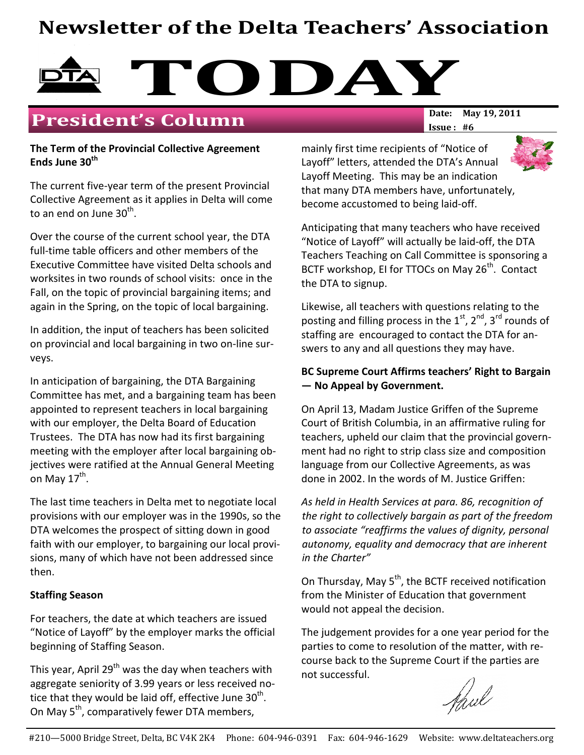# Newsletter of the Delta Teachers' Association



### **President's Column**

#### The Term of the Provincial Collective Agreement Ends June 30<sup>th</sup>

The current five-year term of the present Provincial Collective Agreement as it applies in Delta will come to an end on June 30<sup>th</sup>.

Over the course of the current school year, the DTA full-time table officers and other members of the Executive Committee have visited Delta schools and worksites in two rounds of school visits: once in the Fall, on the topic of provincial bargaining items; and again in the Spring, on the topic of local bargaining.

In addition, the input of teachers has been solicited on provincial and local bargaining in two on-line surveys.

In anticipation of bargaining, the DTA Bargaining Committee has met, and a bargaining team has been appointed to represent teachers in local bargaining with our employer, the Delta Board of Education Trustees. The DTA has now had its first bargaining meeting with the employer after local bargaining objectives were ratified at the Annual General Meeting on May 17<sup>th</sup>.

The last time teachers in Delta met to negotiate local provisions with our employer was in the 1990s, so the DTA welcomes the prospect of sitting down in good faith with our employer, to bargaining our local provisions, many of which have not been addressed since then.

#### Staffing Season

For teachers, the date at which teachers are issued "Notice of Layoff" by the employer marks the official beginning of Staffing Season.

This year, April 29<sup>th</sup> was the day when teachers with aggregate seniority of 3.99 years or less received notice that they would be laid off, effective June 30<sup>th</sup>. On May 5<sup>th</sup>, comparatively fewer DTA members,

Issue : #6

mainly first time recipients of "Notice of Layoff" letters, attended the DTA's Annual Layoff Meeting. This may be an indication that many DTA members have, unfortunately, become accustomed to being laid-off.

Anticipating that many teachers who have received "Notice of Layoff" will actually be laid-off, the DTA Teachers Teaching on Call Committee is sponsoring a BCTF workshop, EI for TTOCs on May 26<sup>th</sup>. Contact the DTA to signup.

Likewise, all teachers with questions relating to the posting and filling process in the  $1<sup>st</sup>$ ,  $2<sup>nd</sup>$ ,  $3<sup>rd</sup>$  rounds of staffing are encouraged to contact the DTA for answers to any and all questions they may have.

#### BC Supreme Court Affirms teachers' Right to Bargain — No Appeal by Government.

On April 13, Madam Justice Griffen of the Supreme Court of British Columbia, in an affirmative ruling for teachers, upheld our claim that the provincial government had no right to strip class size and composition language from our Collective Agreements, as was done in 2002. In the words of M. Justice Griffen:

As held in Health Services at para. 86, recognition of the right to collectively bargain as part of the freedom to associate "reaffirms the values of dignity, personal autonomy, equality and democracy that are inherent in the Charter"

On Thursday, May 5<sup>th</sup>, the BCTF received notification from the Minister of Education that government would not appeal the decision.

The judgement provides for a one year period for the parties to come to resolution of the matter, with recourse back to the Supreme Court if the parties are not successful.